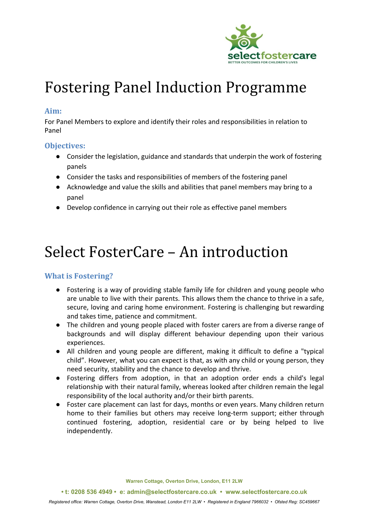

# Fostering Panel Induction Programme

## **Aim:**

For Panel Members to explore and identify their roles and responsibilities in relation to Panel

## **Objectives:**

- Consider the legislation, guidance and standards that underpin the work of fostering panels
- Consider the tasks and responsibilities of members of the fostering panel
- Acknowledge and value the skills and abilities that panel members may bring to a panel
- Develop confidence in carrying out their role as effective panel members

# Select FosterCare – An introduction

# **What is Fostering?**

- Fostering is a way of providing stable family life for children and young people who are unable to live with their parents. This allows them the chance to thrive in a safe, secure, loving and caring home environment. Fostering is challenging but rewarding and takes time, patience and commitment.
- The children and young people placed with foster carers are from a diverse range of backgrounds and will display different behaviour depending upon their various experiences.
- All children and young people are different, making it difficult to define a "typical child". However, what you can expect is that, as with any child or young person, they need security, stability and the chance to develop and thrive.
- Fostering differs from adoption, in that an adoption order ends a child's legal relationship with their natural family, whereas looked after children remain the legal responsibility of the local authority and/or their birth parents.
- Foster care placement can last for days, months or even years. Many children return home to their families but others may receive long-term support; either through continued fostering, adoption, residential care or by being helped to live independently.

**Warren Cottage, Overton Drive, London, E11 2LW**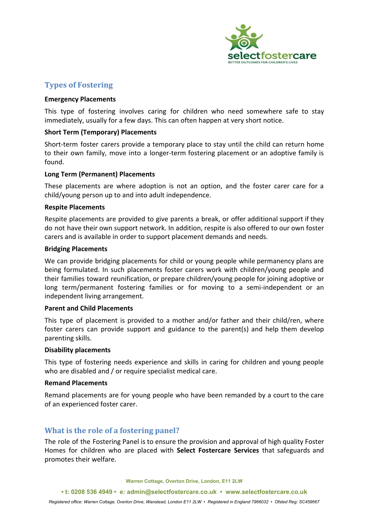

### **Types of Fostering**

#### **Emergency Placements**

This type of fostering involves caring for children who need somewhere safe to stay immediately, usually for a few days. This can often happen at very short notice.

#### **Short Term (Temporary) Placements**

Short-term foster carers provide a temporary place to stay until the child can return home to their own family, move into a longer-term fostering placement or an adoptive family is found.

#### **Long Term (Permanent) Placements**

These placements are where adoption is not an option, and the foster carer care for a child/young person up to and into adult independence.

#### **Respite Placements**

Respite placements are provided to give parents a break, or offer additional support if they do not have their own support network. In addition, respite is also offered to our own foster carers and is available in order to support placement demands and needs.

#### **Bridging Placements**

We can provide bridging placements for child or young people while permanency plans are being formulated. In such placements foster carers work with children/young people and their families toward reunification, or prepare children/young people for joining adoptive or long term/permanent fostering families or for moving to a semi-independent or an independent living arrangement.

#### **Parent and Child Placements**

This type of placement is provided to a mother and/or father and their child/ren, where foster carers can provide support and guidance to the parent(s) and help them develop parenting skills.

#### **Disability placements**

This type of fostering needs experience and skills in caring for children and young people who are disabled and / or require specialist medical care.

#### **Remand Placements**

Remand placements are for young people who have been remanded by a court to the care of an experienced foster carer.

## **What is the role of a fostering panel?**

The role of the Fostering Panel is to ensure the provision and approval of high quality Foster Homes for children who are placed with **Select Fostercare Services** that safeguards and promotes their welfare.

**Warren Cottage, Overton Drive, London, E11 2LW**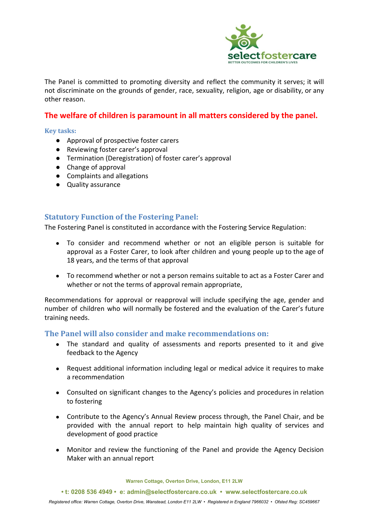

The Panel is committed to promoting diversity and reflect the community it serves; it will not discriminate on the grounds of gender, race, sexuality, religion, age or disability, or any other reason.

# **The welfare of children is paramount in all matters considered by the panel.**

#### **Key tasks:**

- Approval of prospective foster carers
- Reviewing foster carer's approval
- Termination (Deregistration) of foster carer's approval
- Change of approval
- Complaints and allegations
- Quality assurance

## **Statutory Function of the Fostering Panel:**

The Fostering Panel is constituted in accordance with the Fostering Service Regulation:

- To consider and recommend whether or not an eligible person is suitable for approval as a Foster Carer, to look after children and young people up to the age of 18 years, and the terms of that approval
- To recommend whether or not a person remains suitable to act as a Foster Carer and whether or not the terms of approval remain appropriate,

Recommendations for approval or reapproval will include specifying the age, gender and number of children who will normally be fostered and the evaluation of the Carer's future training needs.

#### **The Panel will also consider and make recommendations on:**

- The standard and quality of assessments and reports presented to it and give feedback to the Agency
- Request additional information including legal or medical advice it requires to make a recommendation
- Consulted on significant changes to the Agency's policies and procedures in relation to fostering
- Contribute to the Agency's Annual Review process through, the Panel Chair, and be provided with the annual report to help maintain high quality of services and development of good practice
- Monitor and review the functioning of the Panel and provide the Agency Decision Maker with an annual report

**Warren Cottage, Overton Drive, London, E11 2LW**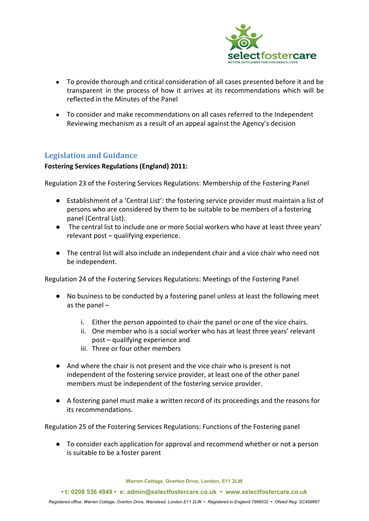

- To provide thorough and critical consideration of all cases presented before it and be transparent in the process of how it arrives at its recommendations which will be reflected in the Minutes of the Panel
- To consider and make recommendations on all cases referred to the Independent Reviewing mechanism as a result of an appeal against the Agency's decision

## **Legislation and Guidance**

#### **Fostering Services Regulations (England) 2011:**

Regulation 23 of the Fostering Services Regulations: Membership of the Fostering Panel

- Establishment of a 'Central List': the fostering service provider must maintain a list of persons who are considered by them to be suitable to be members of a fostering panel (Central List).
- The central list to include one or more Social workers who have at least three years' relevant post – qualifying experience.
- The central list will also include an independent chair and a vice chair who need not be independent.

Regulation 24 of the Fostering Services Regulations: Meetings of the Fostering Panel

- No business to be conducted by a fostering panel unless at least the following meet as the panel –
	- i. Either the person appointed to chair the panel or one of the vice chairs.
	- ii. One member who is a social worker who has at least three years' relevant post – qualifying experience and
	- iii. Three or four other members
- And where the chair is not present and the vice chair who is present is not independent of the fostering service provider, at least one of the other panel members must be independent of the fostering service provider.
- A fostering panel must make a written record of its proceedings and the reasons for its recommendations.

Regulation 25 of the Fostering Services Regulations: Functions of the Fostering panel

● To consider each application for approval and recommend whether or not a person is suitable to be a foster parent

**Warren Cottage, Overton Drive, London, E11 2LW**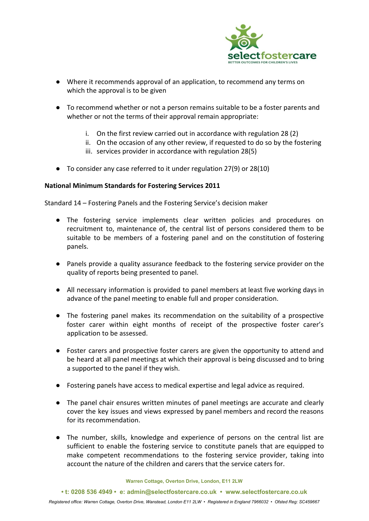

- Where it recommends approval of an application, to recommend any terms on which the approval is to be given
- To recommend whether or not a person remains suitable to be a foster parents and whether or not the terms of their approval remain appropriate:
	- i. On the first review carried out in accordance with regulation 28 (2)
	- ii. On the occasion of any other review, if requested to do so by the fostering
	- iii. services provider in accordance with regulation 28(5)
- To consider any case referred to it under regulation 27(9) or 28(10)

#### **National Minimum Standards for Fostering Services 2011**

Standard 14 – Fostering Panels and the Fostering Service's decision maker

- The fostering service implements clear written policies and procedures on recruitment to, maintenance of, the central list of persons considered them to be suitable to be members of a fostering panel and on the constitution of fostering panels.
- Panels provide a quality assurance feedback to the fostering service provider on the quality of reports being presented to panel.
- All necessary information is provided to panel members at least five working days in advance of the panel meeting to enable full and proper consideration.
- The fostering panel makes its recommendation on the suitability of a prospective foster carer within eight months of receipt of the prospective foster carer's application to be assessed.
- Foster carers and prospective foster carers are given the opportunity to attend and be heard at all panel meetings at which their approval is being discussed and to bring a supported to the panel if they wish.
- Fostering panels have access to medical expertise and legal advice as required.
- The panel chair ensures written minutes of panel meetings are accurate and clearly cover the key issues and views expressed by panel members and record the reasons for its recommendation.
- The number, skills, knowledge and experience of persons on the central list are sufficient to enable the fostering service to constitute panels that are equipped to make competent recommendations to the fostering service provider, taking into account the nature of the children and carers that the service caters for.

**Warren Cottage, Overton Drive, London, E11 2LW**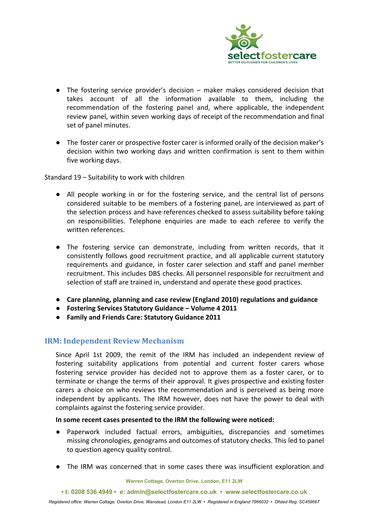

- The fostering service provider's decision maker makes considered decision that takes account of all the information available to them, including the recommendation of the fostering panel and, where applicable, the independent review panel, within seven working days of receipt of the recommendation and final set of panel minutes.
- The foster carer or prospective foster carer is informed orally of the decision maker's decision within two working days and written confirmation is sent to them within five working days.

Standard 19 – Suitability to work with children

- All people working in or for the fostering service, and the central list of persons considered suitable to be members of a fostering panel, are interviewed as part of the selection process and have references checked to assess suitability before taking on responsibilities. Telephone enquiries are made to each referee to verify the written references.
- The fostering service can demonstrate, including from written records, that it consistently follows good recruitment practice, and all applicable current statutory requirements and guidance, in foster carer selection and staff and panel member recruitment. This includes DBS checks. All personnel responsible for recruitment and selection of staff are trained in, understand and operate these good practices.
- **● Care planning, planning and case review (England 2010) regulations and guidance**
- **● Fostering Services Statutory Guidance Volume 4 2011**
- **● Family and Friends Care: Statutory Guidance 2011**

# **IRM: Independent Review Mechanism**

Since April 1st 2009, the remit of the IRM has included an independent review of fostering suitability applications from potential and current foster carers whose fostering service provider has decided not to approve them as a foster carer, or to terminate or change the terms of their approval. It gives prospective and existing foster carers a choice on who reviews the recommendation and is perceived as being more independent by applicants. The IRM however, does not have the power to deal with complaints against the fostering service provider.

#### **In some recent cases presented to the IRM the following were noticed:**

- Paperwork included factual errors, ambiguities, discrepancies and sometimes missing chronologies, genograms and outcomes of statutory checks. This led to panel to question agency quality control.
- The IRM was concerned that in some cases there was insufficient exploration and

**Warren Cottage, Overton Drive, London, E11 2LW**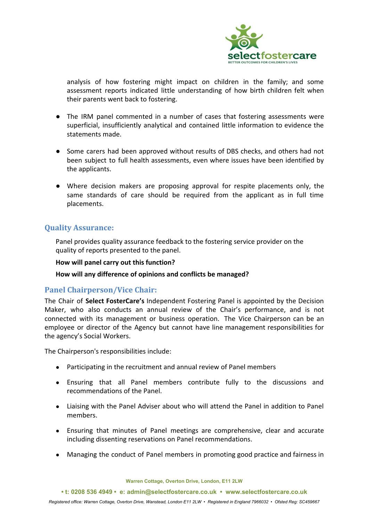

analysis of how fostering might impact on children in the family; and some assessment reports indicated little understanding of how birth children felt when their parents went back to fostering.

- The IRM panel commented in a number of cases that fostering assessments were superficial, insufficiently analytical and contained little information to evidence the statements made.
- Some carers had been approved without results of DBS checks, and others had not been subject to full health assessments, even where issues have been identified by the applicants.
- Where decision makers are proposing approval for respite placements only, the same standards of care should be required from the applicant as in full time placements.

## **Quality Assurance:**

Panel provides quality assurance feedback to the fostering service provider on the quality of reports presented to the panel.

#### **How will panel carry out this function?**

**How will any difference of opinions and conflicts be managed?**

# **Panel Chairperson/Vice Chair:**

The Chair of **Select FosterCare's** Independent Fostering Panel is appointed by the Decision Maker, who also conducts an annual review of the Chair's performance, and is not connected with its management or business operation. The Vice Chairperson can be an employee or director of the Agency but cannot have line management responsibilities for the agency's Social Workers.

The Chairperson's responsibilities include:

- Participating in the recruitment and annual review of Panel members
- Ensuring that all Panel members contribute fully to the discussions and recommendations of the Panel.
- Liaising with the Panel Adviser about who will attend the Panel in addition to Panel members.
- Ensuring that minutes of Panel meetings are comprehensive, clear and accurate including dissenting reservations on Panel recommendations.
- Managing the conduct of Panel members in promoting good practice and fairness in

**Warren Cottage, Overton Drive, London, E11 2LW**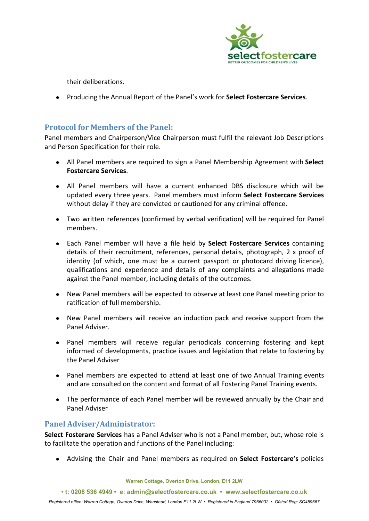

their deliberations.

● Producing the Annual Report of the Panel's work for **Select Fostercare Services**.

# **Protocol for Members of the Panel:**

Panel members and Chairperson/Vice Chairperson must fulfil the relevant Job Descriptions and Person Specification for their role.

- All Panel members are required to sign a Panel Membership Agreement with **Select Fostercare Services**.
- All Panel members will have a current enhanced DBS disclosure which will be updated every three years. Panel members must inform **Select Fostercare Services** without delay if they are convicted or cautioned for any criminal offence.
- Two written references (confirmed by verbal verification) will be required for Panel members.
- Each Panel member will have a file held by **Select Fostercare Services** containing details of their recruitment, references, personal details, photograph, 2 x proof of identity (of which, one must be a current passport or photocard driving licence), qualifications and experience and details of any complaints and allegations made against the Panel member, including details of the outcomes.
- New Panel members will be expected to observe at least one Panel meeting prior to ratification of full membership.
- New Panel members will receive an induction pack and receive support from the Panel Adviser.
- Panel members will receive regular periodicals concerning fostering and kept informed of developments, practice issues and legislation that relate to fostering by the Panel Adviser
- Panel members are expected to attend at least one of two Annual Training events and are consulted on the content and format of all Fostering Panel Training events.
- The performance of each Panel member will be reviewed annually by the Chair and Panel Adviser

# **Panel Adviser/Administrator:**

**Select Fosterare Services** has a Panel Adviser who is not a Panel member, but, whose role is to facilitate the operation and functions of the Panel including:

● Advising the Chair and Panel members as required on **Select Fostercare's** policies

**Warren Cottage, Overton Drive, London, E11 2LW**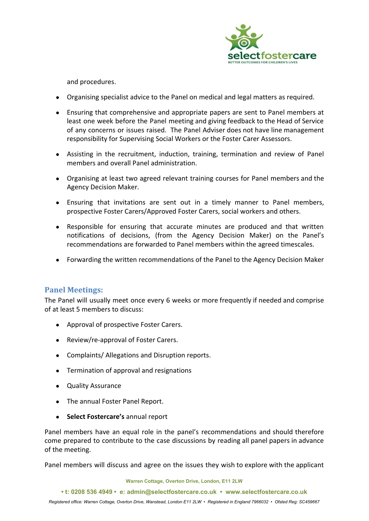

and procedures.

- Organising specialist advice to the Panel on medical and legal matters as required.
- Ensuring that comprehensive and appropriate papers are sent to Panel members at least one week before the Panel meeting and giving feedback to the Head of Service of any concerns or issues raised. The Panel Adviser does not have line management responsibility for Supervising Social Workers or the Foster Carer Assessors.
- Assisting in the recruitment, induction, training, termination and review of Panel members and overall Panel administration.
- Organising at least two agreed relevant training courses for Panel members and the Agency Decision Maker.
- Ensuring that invitations are sent out in a timely manner to Panel members, prospective Foster Carers/Approved Foster Carers, social workers and others.
- Responsible for ensuring that accurate minutes are produced and that written notifications of decisions, (from the Agency Decision Maker) on the Panel's recommendations are forwarded to Panel members within the agreed timescales.
- Forwarding the written recommendations of the Panel to the Agency Decision Maker

## **Panel Meetings:**

The Panel will usually meet once every 6 weeks or more frequently if needed and comprise of at least 5 members to discuss:

- Approval of prospective Foster Carers.
- Review/re-approval of Foster Carers.
- Complaints/ Allegations and Disruption reports.
- Termination of approval and resignations
- Quality Assurance
- The annual Foster Panel Report.
- **Select Fostercare's** annual report

Panel members have an equal role in the panel's recommendations and should therefore come prepared to contribute to the case discussions by reading all panel papers in advance of the meeting.

Panel members will discuss and agree on the issues they wish to explore with the applicant

**• t: 0208 536 4949 • e: admin@selectfostercare.co.uk • www.selectfostercare.co.uk**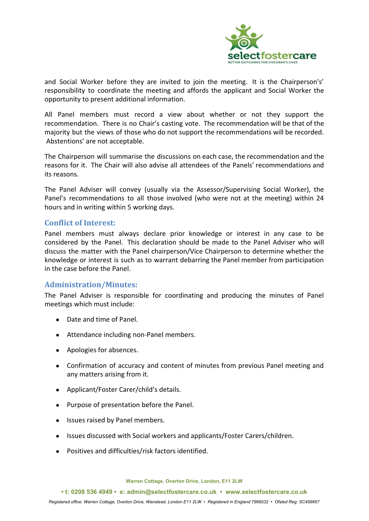

and Social Worker before they are invited to join the meeting. It is the Chairperson's' responsibility to coordinate the meeting and affords the applicant and Social Worker the opportunity to present additional information.

All Panel members must record a view about whether or not they support the recommendation. There is no Chair's casting vote. The recommendation will be that of the majority but the views of those who do not support the recommendations will be recorded. Abstentions' are not acceptable.

The Chairperson will summarise the discussions on each case, the recommendation and the reasons for it. The Chair will also advise all attendees of the Panels' recommendations and its reasons.

The Panel Adviser will convey (usually via the Assessor/Supervising Social Worker), the Panel's recommendations to all those involved (who were not at the meeting) within 24 hours and in writing within 5 working days.

## **Conflict of Interest:**

Panel members must always declare prior knowledge or interest in any case to be considered by the Panel. This declaration should be made to the Panel Adviser who will discuss the matter with the Panel chairperson/Vice Chairperson to determine whether the knowledge or interest is such as to warrant debarring the Panel member from participation in the case before the Panel.

#### **Administration/Minutes:**

The Panel Adviser is responsible for coordinating and producing the minutes of Panel meetings which must include:

- Date and time of Panel.
- Attendance including non-Panel members.
- Apologies for absences.
- Confirmation of accuracy and content of minutes from previous Panel meeting and any matters arising from it.
- Applicant/Foster Carer/child's details.
- Purpose of presentation before the Panel.
- Issues raised by Panel members.
- Issues discussed with Social workers and applicants/Foster Carers/children.
- Positives and difficulties/risk factors identified.

**Warren Cottage, Overton Drive, London, E11 2LW**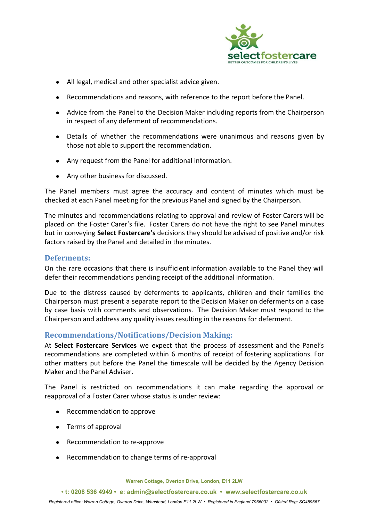

- All legal, medical and other specialist advice given.
- Recommendations and reasons, with reference to the report before the Panel.
- Advice from the Panel to the Decision Maker including reports from the Chairperson in respect of any deferment of recommendations.
- Details of whether the recommendations were unanimous and reasons given by those not able to support the recommendation.
- Any request from the Panel for additional information.
- Any other business for discussed.

The Panel members must agree the accuracy and content of minutes which must be checked at each Panel meeting for the previous Panel and signed by the Chairperson.

The minutes and recommendations relating to approval and review of Foster Carers will be placed on the Foster Carer's file. Foster Carers do not have the right to see Panel minutes but in conveying **Select Fostercare's** decisions they should be advised of positive and/or risk factors raised by the Panel and detailed in the minutes.

### **Deferments:**

On the rare occasions that there is insufficient information available to the Panel they will defer their recommendations pending receipt of the additional information.

Due to the distress caused by deferments to applicants, children and their families the Chairperson must present a separate report to the Decision Maker on deferments on a case by case basis with comments and observations. The Decision Maker must respond to the Chairperson and address any quality issues resulting in the reasons for deferment.

## **Recommendations/Notifications/Decision Making:**

At **Select Fostercare Services** we expect that the process of assessment and the Panel's recommendations are completed within 6 months of receipt of fostering applications. For other matters put before the Panel the timescale will be decided by the Agency Decision Maker and the Panel Adviser.

The Panel is restricted on recommendations it can make regarding the approval or reapproval of a Foster Carer whose status is under review:

- Recommendation to approve
- Terms of approval
- Recommendation to re-approve
- Recommendation to change terms of re-approval

**Warren Cottage, Overton Drive, London, E11 2LW**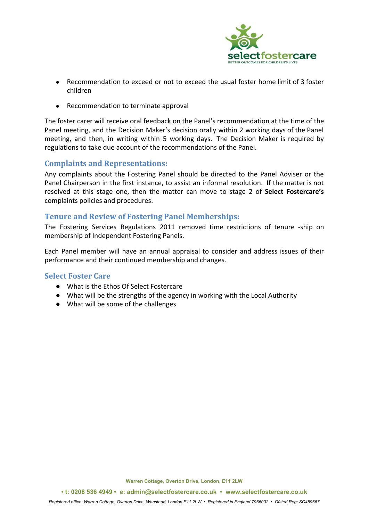

- Recommendation to exceed or not to exceed the usual foster home limit of 3 foster children
- Recommendation to terminate approval

The foster carer will receive oral feedback on the Panel's recommendation at the time of the Panel meeting, and the Decision Maker's decision orally within 2 working days of the Panel meeting, and then, in writing within 5 working days. The Decision Maker is required by regulations to take due account of the recommendations of the Panel.

## **Complaints and Representations:**

Any complaints about the Fostering Panel should be directed to the Panel Adviser or the Panel Chairperson in the first instance, to assist an informal resolution. If the matter is not resolved at this stage one, then the matter can move to stage 2 of **Select Fostercare's** complaints policies and procedures.

## **Tenure and Review of Fostering Panel Memberships:**

The Fostering Services Regulations 2011 removed time restrictions of tenure -ship on membership of Independent Fostering Panels.

Each Panel member will have an annual appraisal to consider and address issues of their performance and their continued membership and changes.

# **Select Foster Care**

- What is the Ethos Of Select Fostercare
- What will be the strengths of the agency in working with the Local Authority
- What will be some of the challenges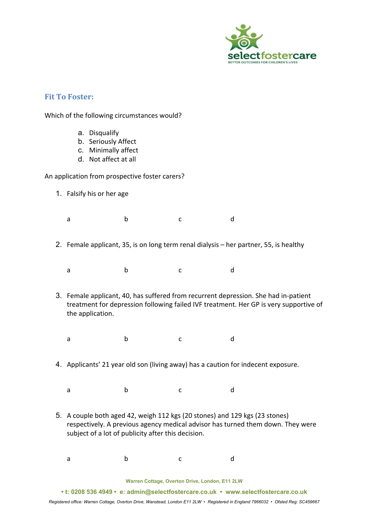

## **Fit To Foster:**

Which of the following circumstances would?

- a. Disqualify
- b. Seriously Affect
- c. Minimally affect
- d. Not affect at all

An application from prospective foster carers?

- 1. Falsify his or her age
	- a b c d
- 2. Female applicant, 35, is on long term renal dialysis her partner, 55, is healthy
	- a b c d
- 3. Female applicant, 40, has suffered from recurrent depression. She had in-patient treatment for depression following failed IVF treatment. Her GP is very supportive of the application.
	- a b c d
- 4. Applicants' 21 year old son (living away) has a caution for indecent exposure.
	- a b c d
- 5. A couple both aged 42, weigh 112 kgs (20 stones) and 129 kgs (23 stones) respectively. A previous agency medical advisor has turned them down. They were subject of a lot of publicity after this decision.
	- a b c d

**Warren Cottage, Overton Drive, London, E11 2LW**

**• t: 0208 536 4949 • e: admin@selectfostercare.co.uk • www.selectfostercare.co.uk**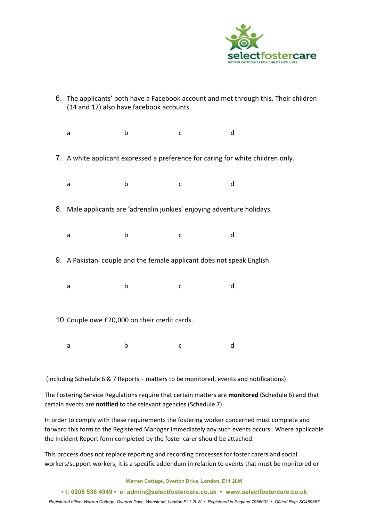

6. The applicants' both have a Facebook account and met through this. Their children (14 and 17) also have facebook accounts. a b c d 7. A white applicant expressed a preference for caring for white children only. a b c d 8. Male applicants are 'adrenalin junkies' enjoying adventure holidays. a b c d 9. A Pakistani couple and the female applicant does not speak English. a b c d 10.Couple owe £20,000 on their credit cards. a b c d

(Including Schedule 6 & 7 Reports – matters to be monitored, events and notifications)

The Fostering Service Regulations require that certain matters are **monitored** (Schedule 6) and that certain events are **notified** to the relevant agencies (Schedule 7).

In order to comply with these requirements the fostering worker concerned must complete and forward this form to the Registered Manager immediately any such events occurs. Where applicable the Incident Report form completed by the foster carer should be attached.

This process does not replace reporting and recording processes for foster carers and social workers/support workers, it is a specific addendum in relation to events that must be monitored or

**Warren Cottage, Overton Drive, London, E11 2LW**

**• t: 0208 536 4949 • e: admin@selectfostercare.co.uk • www.selectfostercare.co.uk**